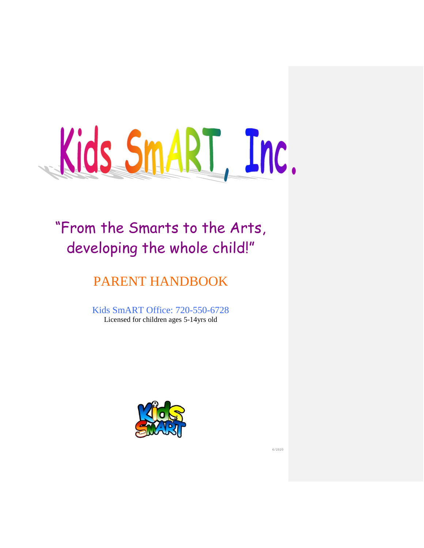

## "From the Smarts to the Arts, developing the whole child!"

## PARENT HANDBOOK

Kids SmART Office: 720-550-6728 Licensed for children ages 5-14yrs old



6/2020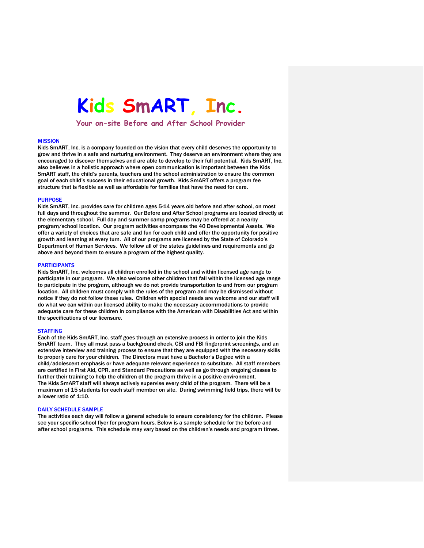# **Kids SmART, Inc.**

**Your on-site Before and After School Provider**

#### **MISSION**

Kids SmART, Inc. is a company founded on the vision that every child deserves the opportunity to grow and thrive in a safe and nurturing environment. They deserve an environment where they are encouraged to discover themselves and are able to develop to their full potential. Kids SmART, Inc. also believes in a holistic approach where open communication is important between the Kids SmART staff, the child's parents, teachers and the school administration to ensure the common goal of each child's success in their educational growth. Kids SmART offers a program fee structure that is flexible as well as affordable for families that have the need for care.

#### PURPOSE

Kids SmART, Inc. provides care for children ages 5-14 years old before and after school, on most full days and throughout the summer. Our Before and After School programs are located directly at the elementary school. Full day and summer camp programs may be offered at a nearby program/school location. Our program activities encompass the 40 Developmental Assets. We offer a variety of choices that are safe and fun for each child and offer the opportunity for positive growth and learning at every turn. All of our programs are licensed by the State of Colorado's Department of Human Services. We follow all of the states guidelines and requirements and go above and beyond them to ensure a program of the highest quality.

#### PARTICIPANTS

Kids SmART, Inc. welcomes all children enrolled in the school and within licensed age range to participate in our program. We also welcome other children that fall within the licensed age range to participate in the program, although we do not provide transportation to and from our program location. All children must comply with the rules of the program and may be dismissed without notice if they do not follow these rules. Children with special needs are welcome and our staff will do what we can within our licensed ability to make the necessary accommodations to provide adequate care for these children in compliance with the American with Disabilities Act and within the specifications of our licensure.

#### **STAFFING**

Each of the Kids SmART, Inc. staff goes through an extensive process in order to join the Kids SmART team. They all must pass a background check, CBI and FBI fingerprint screenings, and an extensive interview and training process to ensure that they are equipped with the necessary skills to properly care for your children. The Directors must have a Bachelor's Degree with a child/adolescent emphasis or have adequate relevant experience to substitute. All staff members are certified in First Aid, CPR, and Standard Precautions as well as go through ongoing classes to further their training to help the children of the program thrive in a positive environment. The Kids SmART staff will always actively supervise every child of the program. There will be a maximum of 15 students for each staff member on site. During swimming field trips, there will be a lower ratio of 1:10.

#### DAILY SCHEDULE SAMPLE

The activities each day will follow a general schedule to ensure consistency for the children. Please see your specific school flyer for program hours. Below is a sample schedule for the before and after school programs. This schedule may vary based on the children's needs and program times.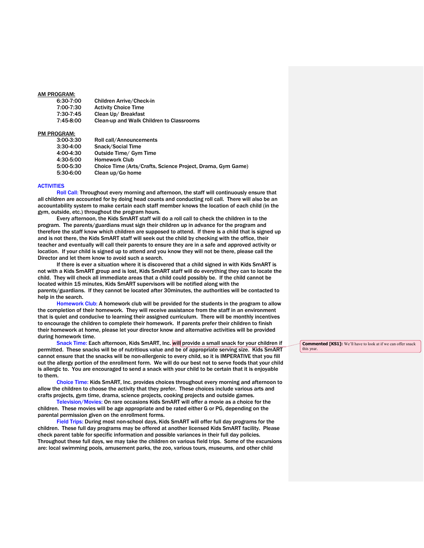#### AM PROGRAM:

| 6:30-7:00 | <b>Children Arrive/Check-in</b>          |
|-----------|------------------------------------------|
| 7:00-7:30 | <b>Activity Choice Time</b>              |
| 7:30-7:45 | Clean Up/ Breakfast                      |
| 7:45-8:00 | Clean-up and Walk Children to Classrooms |

#### PM PROGRAM:

| 3:00-3:30 | Roll call/Announcements                                     |
|-----------|-------------------------------------------------------------|
| 3:30-4:00 | <b>Snack/Social Time</b>                                    |
| 4:00-4:30 | Outside Time/ Gym Time                                      |
| 4:30-5:00 | <b>Homework Club</b>                                        |
| 5:00-5:30 | Choice Time (Arts/Crafts, Science Project, Drama, Gym Game) |
| 5:30-6:00 | Clean up/Go home                                            |

#### **ACTIVITIES**

Roll Call: Throughout every morning and afternoon, the staff will continuously ensure that all children are accounted for by doing head counts and conducting roll call. There will also be an accountability system to make certain each staff member knows the location of each child (in the gym, outside, etc.) throughout the program hours.

Every afternoon, the Kids SmART staff will do a roll call to check the children in to the program. The parents/guardians must sign their children up in advance for the program and therefore the staff know which children are supposed to attend. If there is a child that is signed up and is not there, the Kids SmART staff will seek out the child by checking with the office, their teacher and eventually will call their parents to ensure they are in a safe and approved activity or location. If your child is signed up to attend and you know they will not be there, please call the Director and let them know to avoid such a search.

If there is ever a situation where it is discovered that a child signed in with Kids SmART is not with a Kids SmART group and is lost, Kids SmART staff will do everything they can to locate the child. They will check all immediate areas that a child could possibly be. If the child cannot be located within 15 minutes, Kids SmART supervisors will be notified along with the parents/guardians. If they cannot be located after 30minutes, the authorities will be contacted to help in the search.

Homework Club: A homework club will be provided for the students in the program to allow the completion of their homework. They will receive assistance from the staff in an environment that is quiet and conducive to learning their assigned curriculum. There will be monthly incentives to encourage the children to complete their homework. If parents prefer their children to finish their homework at home, please let your director know and alternative activities will be provided during homework time.

Snack Time: Each afternoon, Kids SmART, Inc. will provide a small snack for your children if permitted. These snacks will be of nutritious value and be of appropriate serving size. Kids SmART cannot ensure that the snacks will be non-allergenic to every child, so it is IMPERATIVE that you fill out the allergy portion of the enrollment form. We will do our best not to serve foods that your child is allergic to. You are encouraged to send a snack with your child to be certain that it is enjoyable to them.

Choice Time: Kids SmART, Inc. provides choices throughout every morning and afternoon to allow the children to choose the activity that they prefer. These choices include various arts and crafts projects, gym time, drama, science projects, cooking projects and outside games.

Television/Movies: On rare occasions Kids SmART will offer a movie as a choice for the children. These movies will be age appropriate and be rated either G or PG, depending on the parental permission given on the enrollment forms.

Field Trips: During most non-school days, Kids SmART will offer full day programs for the children. These full day programs may be offered at another licensed Kids SmART facility. Please check parent table for specific information and possible variances in their full day policies. Throughout these full days, we may take the children on various field trips. Some of the excursions are: local swimming pools, amusement parks, the zoo, various tours, museums, and other child

**Commented [KS1]:** We'll have to look at if we can offer snack this year.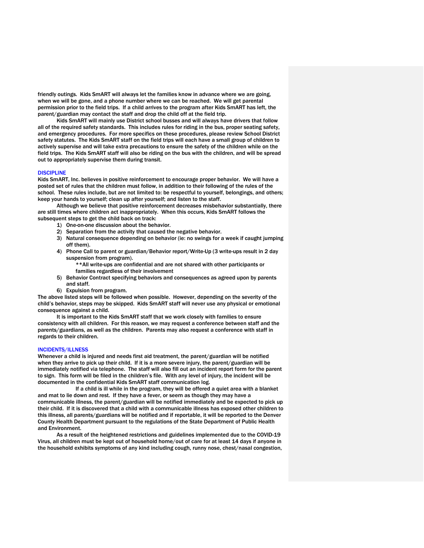friendly outings. Kids SmART will always let the families know in advance where we are going, when we will be gone, and a phone number where we can be reached. We will get parental permission prior to the field trips. If a child arrives to the program after Kids SmART has left, the parent/guardian may contact the staff and drop the child off at the field trip.

Kids SmART will mainly use District school busses and will always have drivers that follow all of the required safety standards. This includes rules for riding in the bus, proper seating safety, and emergency procedures. For more specifics on these procedures, please review School District safety statutes. The Kids SmART staff on the field trips will each have a small group of children to actively supervise and will take extra precautions to ensure the safety of the children while on the field trips. The Kids SmART staff will also be riding on the bus with the children, and will be spread out to appropriately supervise them during transit.

#### **DISCIPLINE**

Kids SmART, Inc. believes in positive reinforcement to encourage proper behavior. We will have a posted set of rules that the children must follow, in addition to their following of the rules of the school. These rules include, but are not limited to: be respectful to yourself, belongings, and others; keep your hands to yourself; clean up after yourself; and listen to the staff.

Although we believe that positive reinforcement decreases misbehavior substantially, there are still times where children act inappropriately. When this occurs, Kids SmART follows the subsequent steps to get the child back on track:

- 1) One-on-one discussion about the behavior.
- 2) Separation from the activity that caused the negative behavior.
- 3) Natural consequence depending on behavior (ie: no swings for a week if caught jumping off them).
- 4) Phone Call to parent or guardian/Behavior report/Write-Up (3 write-ups result in 2 day suspension from program).

\*\*All write-ups are confidential and are not shared with other participants or families regardless of their involvement

- 5) Behavior Contract specifying behaviors and consequences as agreed upon by parents and staff.
- 6) Expulsion from program.

The above listed steps will be followed when possible. However, depending on the severity of the child's behavior, steps may be skipped. Kids SmART staff will never use any physical or emotional consequence against a child.

It is important to the Kids SmART staff that we work closely with families to ensure consistency with all children. For this reason, we may request a conference between staff and the parents/guardians, as well as the children. Parents may also request a conference with staff in regards to their children.

#### INCIDENTS/ILLNESS

Whenever a child is injured and needs first aid treatment, the parent/guardian will be notified when they arrive to pick up their child. If it is a more severe injury, the parent/guardian will be immediately notified via telephone. The staff will also fill out an incident report form for the parent to sign. This form will be filed in the children's file. With any level of injury, the incident will be documented in the confidential Kids SmART staff communication log.

If a child is ill while in the program, they will be offered a quiet area with a blanket and mat to lie down and rest. If they have a fever, or seem as though they may have a communicable illness, the parent/guardian will be notified immediately and be expected to pick up their child. If it is discovered that a child with a communicable illness has exposed other children to this illness, all parents/guardians will be notified and if reportable, it will be reported to the Denver County Health Department pursuant to the regulations of the State Department of Public Health and Environment.

As a result of the heightened restrictions and guidelines implemented due to the COVID-19 Virus, all children must be kept out of household home/out of care for at least 14 days if anyone in the household exhibits symptoms of any kind including cough, runny nose, chest/nasal congestion,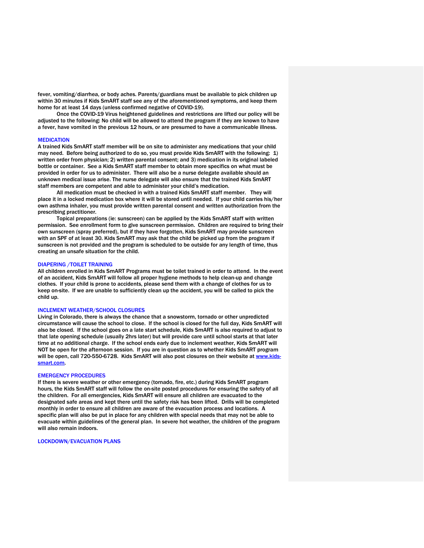fever, vomiting/diarrhea, or body aches. Parents/guardians must be available to pick children up within 30 minutes if Kids SmART staff see any of the aforementioned symptoms, and keep them home for at least 14 days (unless confirmed negative of COVID-19).

Once the COVID-19 Virus heightened guidelines and restrictions are lifted our policy will be adjusted to the following: No child will be allowed to attend the program if they are known to have a fever, have vomited in the previous 12 hours, or are presumed to have a communicable illness.

#### **MEDICATION**

A trained Kids SmART staff member will be on site to administer any medications that your child may need. Before being authorized to do so, you must provide Kids SmART with the following: 1) written order from physician; 2) written parental consent; and 3) medication in its original labeled bottle or container. See a Kids SmART staff member to obtain more specifics on what must be provided in order for us to administer. There will also be a nurse delegate available should an unknown medical issue arise. The nurse delegate will also ensure that the trained Kids SmART staff members are competent and able to administer your child's medication.

All medication must be checked in with a trained Kids SmART staff member. They will place it in a locked medication box where it will be stored until needed. If your child carries his/her own asthma inhaler, you must provide written parental consent and written authorization from the prescribing practitioner.

Topical preparations (ie: sunscreen) can be applied by the Kids SmART staff with written permission. See enrollment form to give sunscreen permission. Children are required to bring their own sunscreen (spray preferred), but if they have forgotten, Kids SmART may provide sunscreen with an SPF of at least 30. Kids SmART may ask that the child be picked up from the program if sunscreen is not provided and the program is scheduled to be outside for any length of time, thus creating an unsafe situation for the child.

#### DIAPERING /TOILET TRAINING

All children enrolled in Kids SmART Programs must be toilet trained in order to attend. In the event of an accident, Kids SmART will follow all proper hygiene methods to help clean-up and change clothes. If your child is prone to accidents, please send them with a change of clothes for us to keep on-site. If we are unable to sufficiently clean up the accident, you will be called to pick the child up.

#### INCLEMENT WEATHER/SCHOOL CLOSURES

Living in Colorado, there is always the chance that a snowstorm, tornado or other unpredicted circumstance will cause the school to close. If the school is closed for the full day, Kids SmART will also be closed. If the school goes on a late start schedule, Kids SmART is also required to adjust to that late opening schedule (usually 2hrs later) but will provide care until school starts at that later time at no additional charge. If the school ends early due to inclement weather, Kids SmART will NOT be open for the afternoon session. If you are in question as to whether Kids SmART program will be open, call 720-550-6728. Kids SmART will also post closures on their website at [www.kids](http://www.kids-smart.com/)[smart.com.](http://www.kids-smart.com/)

#### EMERGENCY PROCEDURES

If there is severe weather or other emergency (tornado, fire, etc.) during Kids SmART program hours, the Kids SmART staff will follow the on-site posted procedures for ensuring the safety of all the children. For all emergencies, Kids SmART will ensure all children are evacuated to the designated safe areas and kept there until the safety risk has been lifted. Drills will be completed monthly in order to ensure all children are aware of the evacuation process and locations. A specific plan will also be put in place for any children with special needs that may not be able to evacuate within guidelines of the general plan. In severe hot weather, the children of the program will also remain indoors.

LOCKDOWN/EVACUATION PLANS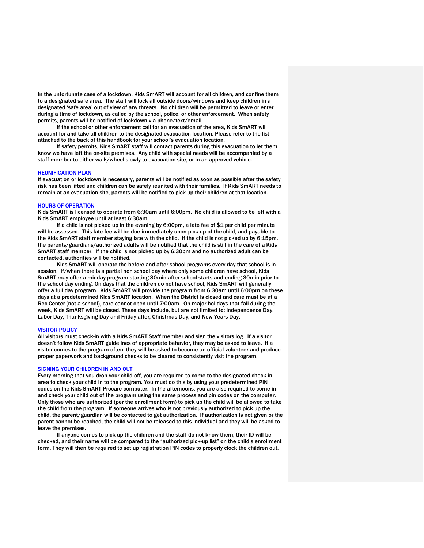In the unfortunate case of a lockdown, Kids SmART will account for all children, and confine them to a designated safe area. The staff will lock all outside doors/windows and keep children in a designated 'safe area' out of view of any threats. No children will be permitted to leave or enter during a time of lockdown, as called by the school, police, or other enforcement. When safety permits, parents will be notified of lockdown via phone/text/email.

If the school or other enforcement call for an evacuation of the area, Kids SmART will account for and take all children to the designated evacuation location. Please refer to the list attached to the back of this handbook for your school's evacuation location.

If safety permits, Kids SmART staff will contact parents during this evacuation to let them know we have left the on-site premises. Any child with special needs will be accompanied by a staff member to either walk/wheel slowly to evacuation site, or in an approved vehicle.

#### REUNIFICATION PLAN

If evacuation or lockdown is necessary, parents will be notified as soon as possible after the safety risk has been lifted and children can be safely reunited with their families. If Kids SmART needs to remain at an evacuation site, parents will be notified to pick up their children at that location.

#### HOURS OF OPERATION

Kids SmART is licensed to operate from 6:30am until 6:00pm. No child is allowed to be left with a Kids SmART employee until at least 6:30am.

If a child is not picked up in the evening by 6:00pm, a late fee of \$1 per child per minute will be assessed. This late fee will be due immediately upon pick up of the child, and payable to the Kids SmART staff member staying late with the child. If the child is not picked up by 6:15pm, the parents/guardians/authorized adults will be notified that the child is still in the care of a Kids SmART staff member. If the child is not picked up by 6:30pm and no authorized adult can be contacted, authorities will be notified.

Kids SmART will operate the before and after school programs every day that school is in session. If/when there is a partial non school day where only some children have school, Kids SmART may offer a midday program starting 30min after school starts and ending 30min prior to the school day ending. On days that the children do not have school, Kids SmART will generally offer a full day program. Kids SmART will provide the program from 6:30am until 6:00pm on these days at a predetermined Kids SmART location. When the District is closed and care must be at a Rec Center (not a school), care cannot open until 7:00am. On major holidays that fall during the week, Kids SmART will be closed. These days include, but are not limited to: Independence Day, Labor Day, Thanksgiving Day and Friday after, Christmas Day, and New Years Day.

#### VISITOR POLICY

All visitors must check-in with a Kids SmART Staff member and sign the visitors log. If a visitor doesn't follow Kids SmART guidelines of appropriate behavior, they may be asked to leave. If a visitor comes to the program often, they will be asked to become an official volunteer and produce proper paperwork and background checks to be cleared to consistently visit the program.

#### SIGNING YOUR CHILDREN IN AND OUT

Every morning that you drop your child off, you are required to come to the designated check in area to check your child in to the program. You must do this by using your predetermined PIN codes on the Kids SmART Procare computer. In the afternoons, you are also required to come in and check your child out of the program using the same process and pin codes on the computer. Only those who are authorized (per the enrollment form) to pick up the child will be allowed to take the child from the program. If someone arrives who is not previously authorized to pick up the child, the parent/guardian will be contacted to get authorization. If authorization is not given or the parent cannot be reached, the child will not be released to this individual and they will be asked to leave the premises.

If anyone comes to pick up the children and the staff do not know them, their ID will be checked, and their name will be compared to the "authorized pick-up list" on the child's enrollment form. They will then be required to set up registration PIN codes to properly clock the children out.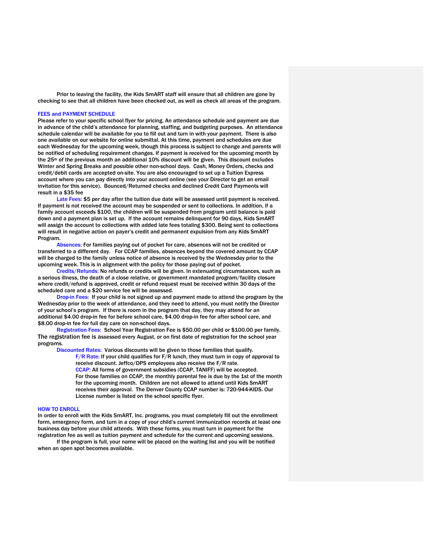Prior to leaving the facility, the Kids SmART staff will ensure that all children are gone by checking to see that all children have been checked out, as well as check all areas of the program.

#### FEES and PAYMENT SCHEDULE

Please refer to your specific school flyer for pricing. An attendance schedule and payment are due in advance of the child's attendance for planning, staffing, and budgeting purposes. An attendance schedule calendar will be available for you to fill out and turn in with your payment. There is also one available on our website for online submittal. At this time, payment and schedules are due each Wednesday for the upcoming week, though this process is subject to change and parents will be notified of scheduling requirement changes. If payment is received for the upcoming month by the 25<sup>th</sup> of the previous month an additional 10% discount will be given. This discount excludes Winter and Spring Breaks and possible other non-school days. Cash, Money Orders, checks and credit/debit cards are accepted on-site. You are also encouraged to set up a Tuition Express account where you can pay directly into your account online (see your Director to get an email invitation for this service). Bounced/Returned checks and declined Credit Card Payments will result in a \$35 fee

Late Fees: \$5 per day after the tuition due date will be assessed until payment is received. If payment is not received the account may be suspended or sent to collections. In addition, if a family account exceeds \$100, the children will be suspended from program until balance is paid down and a payment plan is set up. If the account remains delinquent for 90 days, Kids SmART will assign the account to collections with added late fees totaling \$300. Being sent to collections will result in negative action on payer's credit and permanent expulsion from any Kids SmART Program.

Absences: For families paying out of pocket for care, absences will not be credited or transferred to a different day. For CCAP families, absences beyond the covered amount by CCAP will be charged to the family unless notice of absence is received by the Wednesday prior to the upcoming week. This is in alignment with the policy for those paying out of pocket.

Credits/Refunds: No refunds or credits will be given. In extenuating circumstances, such as a serious illness, the death of a close relative, or government mandated program/facility closure where credit/refund is approved, credit or refund request must be received within 30 days of the scheduled care and a \$20 service fee will be assessed.

Drop-in Fees: If your child is not signed up and payment made to attend the program by the Wednesday prior to the week of attendance, and they need to attend, you must notify the Director of your school's program. If there is room in the program that day, they may attend for an additional \$4.00 drop-in fee for before school care, \$4.00 drop-in fee for after school care, and \$8.00 drop-in fee for full day care on non-school days.

Registration Fees: School Year Registration Fee is \$50.00 per child or \$100.00 per family. The registration fee is assessed every August, or on first date of registration for the school year programs.

Discounted Rates: Various discounts will be given to those families that qualify.

F/R Rate: If your child qualifies for F/R lunch, they must turn in copy of approval to receive discount. Jeffco/DPS employees also receive the F/R rate. CCAP: All forms of government subsidies (CCAP, TANIFF) will be accepted. For those families on CCAP, the monthly parental fee is due by the 1st of the month for the upcoming month. Children are not allowed to attend until Kids SmART receives their approval. The Denver County CCAP number is: 720-944-KIDS. Our License number is listed on the school specific flyer.

#### HOW TO ENROLL

In order to enroll with the Kids SmART, Inc. programs, you must completely fill out the enrollment form, emergency form, and turn in a copy of your child's current immunization records at least one business day before your child attends. With these forms, you must turn in payment for the registration fee as well as tuition payment and schedule for the current and upcoming sessions.

If the program is full, your name will be placed on the waiting list and you will be notified when an open spot becomes available.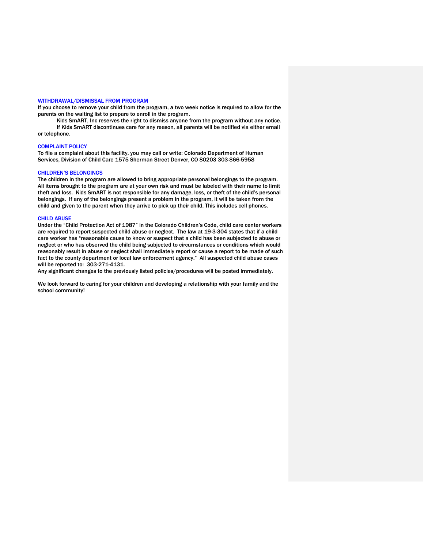#### WITHDRAWAL/DISMISSAL FROM PROGRAM

If you choose to remove your child from the program, a two week notice is required to allow for the parents on the waiting list to prepare to enroll in the program.

Kids SmART, Inc reserves the right to dismiss anyone from the program without any notice. If Kids SmART discontinues care for any reason, all parents will be notified via either email or telephone.

#### COMPLAINT POLICY

To file a complaint about this facility, you may call or write: Colorado Department of Human Services, Division of Child Care 1575 Sherman Street Denver, CO 80203 303-866-5958

#### CHILDREN'S BELONGINGS

The children in the program are allowed to bring appropriate personal belongings to the program. All items brought to the program are at your own risk and must be labeled with their name to limit theft and loss. Kids SmART is not responsible for any damage, loss, or theft of the child's personal belongings. If any of the belongings present a problem in the program, it will be taken from the child and given to the parent when they arrive to pick up their child. This includes cell phones.

#### CHILD ABUSE

Under the "Child Protection Act of 1987" in the Colorado Children's Code, child care center workers are required to report suspected child abuse or neglect. The law at 19-3-304 states that if a child care worker has "reasonable cause to know or suspect that a child has been subjected to abuse or neglect or who has observed the child being subjected to circumstances or conditions which would reasonably result in abuse or neglect shall immediately report or cause a report to be made of such fact to the county department or local law enforcement agency." All suspected child abuse cases will be reported to: 303-271-4131.

Any significant changes to the previously listed policies/procedures will be posted immediately.

We look forward to caring for your children and developing a relationship with your family and the school community!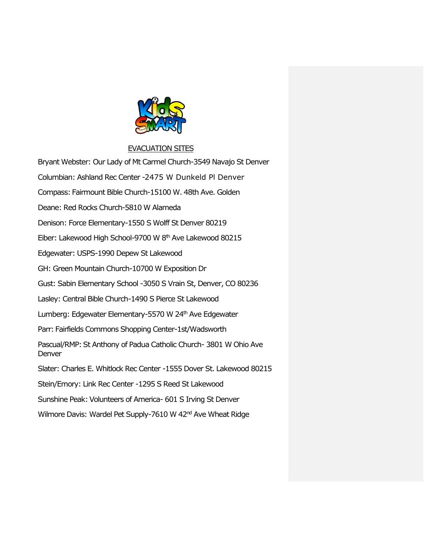

### EVACUATION SITES

Bryant Webster: Our Lady of Mt Carmel Church-3549 Navajo St Denver Columbian: Ashland Rec Center -2475 W Dunkeld Pl Denver Compass: Fairmount Bible Church-15100 W. 48th Ave. Golden Deane: Red Rocks Church-5810 W Alameda Denison: Force Elementary-1550 S Wolff St Denver 80219 Eiber: Lakewood High School-9700 W 8<sup>th</sup> Ave Lakewood 80215 Edgewater: USPS-1990 Depew St Lakewood GH: Green Mountain Church-10700 W Exposition Dr Gust: Sabin Elementary School -3050 S Vrain St, Denver, CO 80236 Lasley: Central Bible Church-1490 S Pierce St Lakewood Lumberg: Edgewater Elementary-5570 W 24<sup>th</sup> Ave Edgewater Parr: Fairfields Commons Shopping Center-1st/Wadsworth Pascual/RMP: St Anthony of Padua Catholic Church-3801 W Ohio Ave Denver Slater: Charles E. Whitlock Rec Center -1555 Dover St. Lakewood 80215 Stein/Emory: Link Rec Center -1295 S Reed St Lakewood Sunshine Peak: Volunteers of America- 601 S Irving St Denver Wilmore Davis: Wardel Pet Supply-7610 W 42<sup>nd</sup> Ave Wheat Ridge